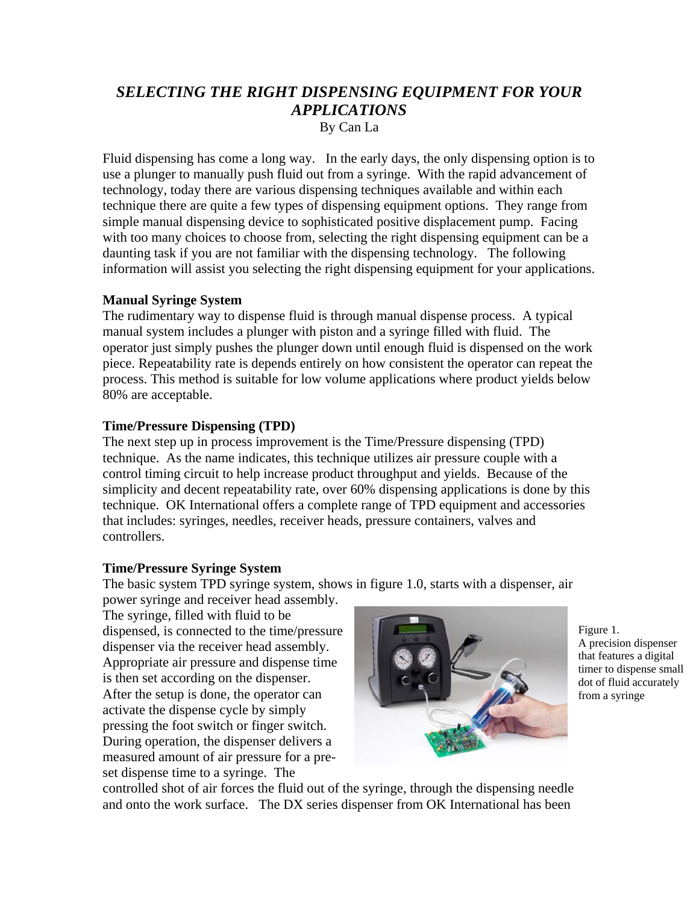# *SELECTING THE RIGHT DISPENSING EQUIPMENT FOR YOUR APPLICATIONS*  By Can La

Fluid dispensing has come a long way. In the early days, the only dispensing option is to use a plunger to manually push fluid out from a syringe. With the rapid advancement of technology, today there are various dispensing techniques available and within each technique there are quite a few types of dispensing equipment options. They range from simple manual dispensing device to sophisticated positive displacement pump. Facing with too many choices to choose from, selecting the right dispensing equipment can be a daunting task if you are not familiar with the dispensing technology. The following information will assist you selecting the right dispensing equipment for your applications.

### **Manual Syringe System**

The rudimentary way to dispense fluid is through manual dispense process. A typical manual system includes a plunger with piston and a syringe filled with fluid. The operator just simply pushes the plunger down until enough fluid is dispensed on the work piece. Repeatability rate is depends entirely on how consistent the operator can repeat the process. This method is suitable for low volume applications where product yields below 80% are acceptable.

## **Time/Pressure Dispensing (TPD)**

The next step up in process improvement is the Time/Pressure dispensing (TPD) technique. As the name indicates, this technique utilizes air pressure couple with a control timing circuit to help increase product throughput and yields. Because of the simplicity and decent repeatability rate, over 60% dispensing applications is done by this technique. OK International offers a complete range of TPD equipment and accessories that includes: syringes, needles, receiver heads, pressure containers, valves and controllers.

## **Time/Pressure Syringe System**

The basic system TPD syringe system, shows in figure 1.0, starts with a dispenser, air

power syringe and receiver head assembly. The syringe, filled with fluid to be dispensed, is connected to the time/pressure dispenser via the receiver head assembly. Appropriate air pressure and dispense time is then set according on the dispenser. After the setup is done, the operator can activate the dispense cycle by simply pressing the foot switch or finger switch. During operation, the dispenser delivers a measured amount of air pressure for a preset dispense time to a syringe. The



Figure 1. A precision dispenser that features a digital timer to dispense small dot of fluid accurately from a syringe

controlled shot of air forces the fluid out of the syringe, through the dispensing needle and onto the work surface. The DX series dispenser from OK International has been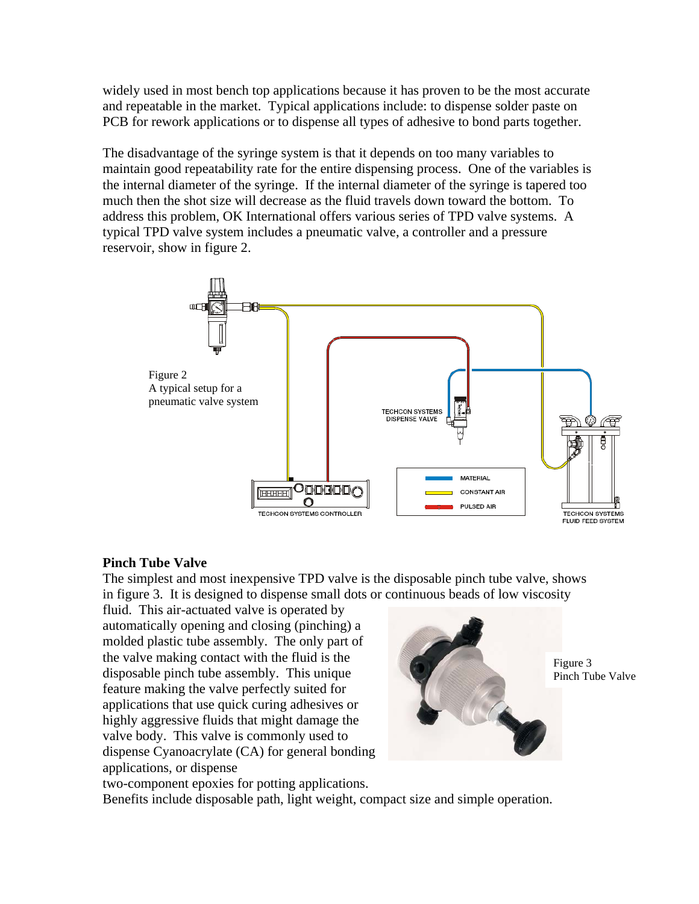widely used in most bench top applications because it has proven to be the most accurate and repeatable in the market. Typical applications include: to dispense solder paste on PCB for rework applications or to dispense all types of adhesive to bond parts together.

The disadvantage of the syringe system is that it depends on too many variables to maintain good repeatability rate for the entire dispensing process. One of the variables is the internal diameter of the syringe. If the internal diameter of the syringe is tapered too much then the shot size will decrease as the fluid travels down toward the bottom. To address this problem, OK International offers various series of TPD valve systems. A typical TPD valve system includes a pneumatic valve, a controller and a pressure reservoir, show in figure 2.



### **Pinch Tube Valve**

The simplest and most inexpensive TPD valve is the disposable pinch tube valve, shows in figure 3. It is designed to dispense small dots or continuous beads of low viscosity

fluid. This air-actuated valve is operated by automatically opening and closing (pinching) a molded plastic tube assembly. The only part of the valve making contact with the fluid is the disposable pinch tube assembly. This unique feature making the valve perfectly suited for applications that use quick curing adhesives or highly aggressive fluids that might damage the valve body. This valve is commonly used to dispense Cyanoacrylate (CA) for general bonding applications, or dispense



Figure 3 Pinch Tube Valve

two-component epoxies for potting applications.

Benefits include disposable path, light weight, compact size and simple operation.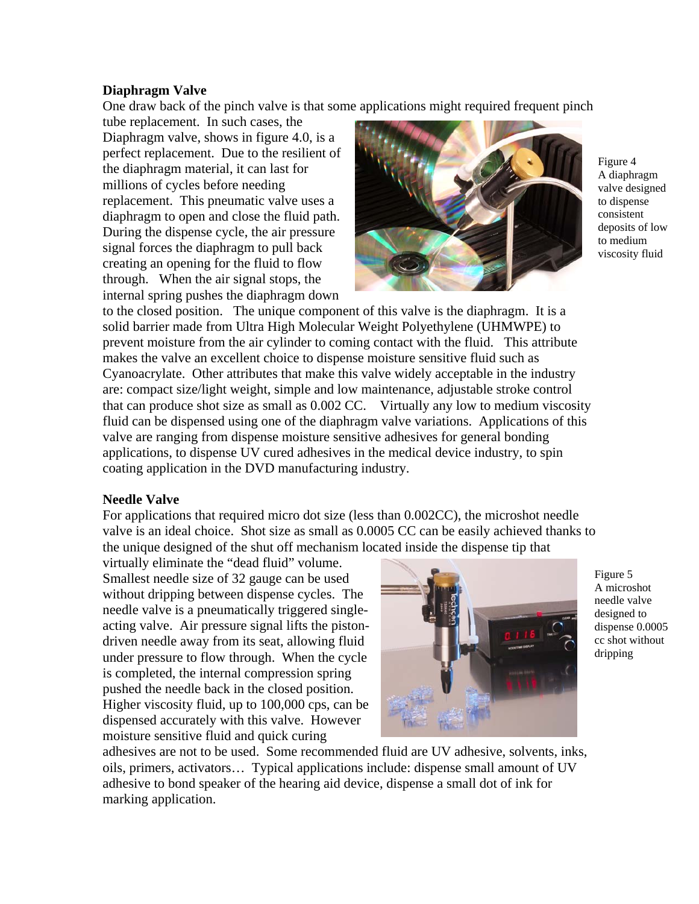### **Diaphragm Valve**

One draw back of the pinch valve is that some applications might required frequent pinch

tube replacement. In such cases, the Diaphragm valve, shows in figure 4.0, is a perfect replacement. Due to the resilient of the diaphragm material, it can last for millions of cycles before needing replacement. This pneumatic valve uses a diaphragm to open and close the fluid path. During the dispense cycle, the air pressure signal forces the diaphragm to pull back creating an opening for the fluid to flow through. When the air signal stops, the internal spring pushes the diaphragm down



Figure 4 A diaphragm valve designed to dispense consistent deposits of low to medium viscosity fluid

to the closed position. The unique component of this valve is the diaphragm. It is a solid barrier made from Ultra High Molecular Weight Polyethylene (UHMWPE) to prevent moisture from the air cylinder to coming contact with the fluid. This attribute makes the valve an excellent choice to dispense moisture sensitive fluid such as Cyanoacrylate. Other attributes that make this valve widely acceptable in the industry are: compact size/light weight, simple and low maintenance, adjustable stroke control that can produce shot size as small as 0.002 CC. Virtually any low to medium viscosity fluid can be dispensed using one of the diaphragm valve variations. Applications of this valve are ranging from dispense moisture sensitive adhesives for general bonding applications, to dispense UV cured adhesives in the medical device industry, to spin coating application in the DVD manufacturing industry.

### **Needle Valve**

For applications that required micro dot size (less than 0.002CC), the microshot needle valve is an ideal choice. Shot size as small as 0.0005 CC can be easily achieved thanks to the unique designed of the shut off mechanism located inside the dispense tip that

virtually eliminate the "dead fluid" volume. Smallest needle size of 32 gauge can be used without dripping between dispense cycles. The needle valve is a pneumatically triggered singleacting valve. Air pressure signal lifts the pistondriven needle away from its seat, allowing fluid under pressure to flow through. When the cycle is completed, the internal compression spring pushed the needle back in the closed position. Higher viscosity fluid, up to 100,000 cps, can be dispensed accurately with this valve. However moisture sensitive fluid and quick curing



Figure 5 A microshot needle valve designed to dispense 0.0005 cc shot without dripping

adhesives are not to be used. Some recommended fluid are UV adhesive, solvents, inks, oils, primers, activators… Typical applications include: dispense small amount of UV adhesive to bond speaker of the hearing aid device, dispense a small dot of ink for marking application.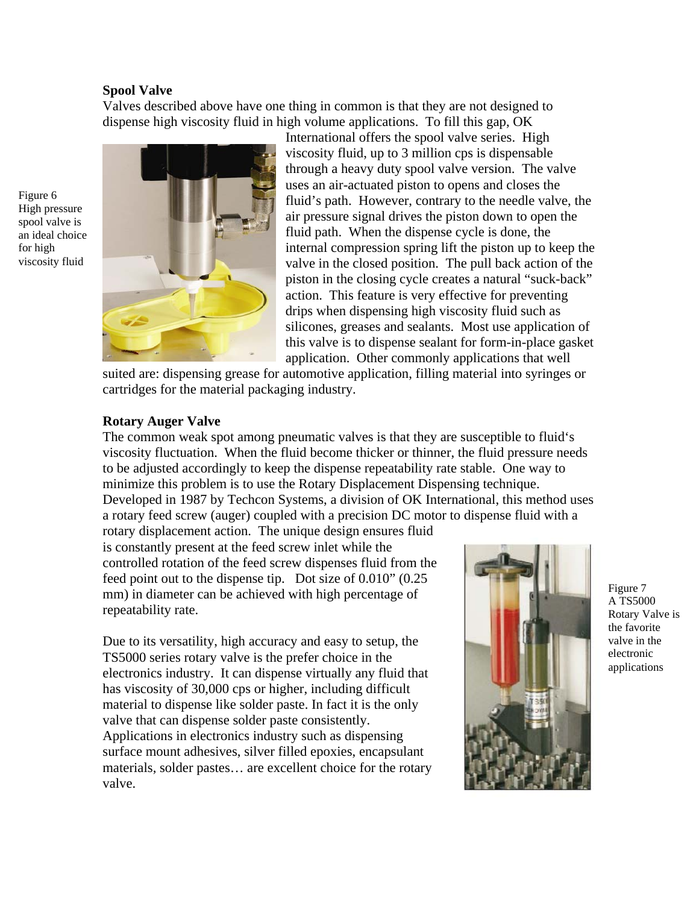#### **Spool Valve**

Figure 6 High pressure spool valve is an ideal choice for high viscosity fluid

Valves described above have one thing in common is that they are not designed to dispense high viscosity fluid in high volume applications. To fill this gap, OK



International offers the spool valve series. High viscosity fluid, up to 3 million cps is dispensable through a heavy duty spool valve version. The valve uses an air-actuated piston to opens and closes the fluid's path. However, contrary to the needle valve, the air pressure signal drives the piston down to open the fluid path. When the dispense cycle is done, the internal compression spring lift the piston up to keep the valve in the closed position. The pull back action of the piston in the closing cycle creates a natural "suck-back" action. This feature is very effective for preventing drips when dispensing high viscosity fluid such as silicones, greases and sealants. Most use application of this valve is to dispense sealant for form-in-place gasket application. Other commonly applications that well

suited are: dispensing grease for automotive application, filling material into syringes or cartridges for the material packaging industry.

#### **Rotary Auger Valve**

The common weak spot among pneumatic valves is that they are susceptible to fluid's viscosity fluctuation. When the fluid become thicker or thinner, the fluid pressure needs to be adjusted accordingly to keep the dispense repeatability rate stable. One way to minimize this problem is to use the Rotary Displacement Dispensing technique. Developed in 1987 by Techcon Systems, a division of OK International, this method uses a rotary feed screw (auger) coupled with a precision DC motor to dispense fluid with a

rotary displacement action. The unique design ensures fluid is constantly present at the feed screw inlet while the controlled rotation of the feed screw dispenses fluid from the feed point out to the dispense tip. Dot size of 0.010" (0.25 mm) in diameter can be achieved with high percentage of repeatability rate.

Due to its versatility, high accuracy and easy to setup, the TS5000 series rotary valve is the prefer choice in the electronics industry. It can dispense virtually any fluid that has viscosity of 30,000 cps or higher, including difficult material to dispense like solder paste. In fact it is the only valve that can dispense solder paste consistently. Applications in electronics industry such as dispensing surface mount adhesives, silver filled epoxies, encapsulant materials, solder pastes… are excellent choice for the rotary valve.



Figure 7 A TS5000 Rotary Valve is the favorite valve in the electronic applications